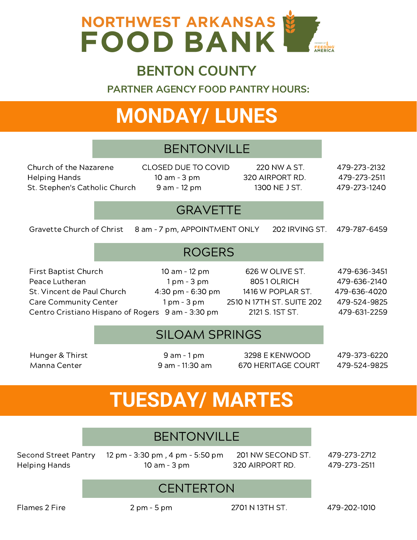

### BENTON COUNTY

PARTNER AGENCY FOOD PANTRY HOURS:

# **MONDAY/ LUNES**

### BENTONVILLE

Church of the Nazarene CLOSED DUE TO COVID 220 NW A ST. 479-273-2132 Helping Hands 10 am - 3 pm 320 AIRPORT RD. 479-273-2511 St. Stephen's Catholic Church 9 am - 12 pm 1300 NE J ST. 479-273-1240

### **GRAVETTE**

Gravette Church of Christ 8 am - 7 pm, APPOINTMENT ONLY 202 IRVING ST. 479-787-6459

ROGERS

First Baptist Church 10 am – 12 pm 626 W OLIVE ST. 479-636-3451 Peace Lutheran 1 pm - 3 pm  $-$  3 pm 805 1 OLRICH 479-636-2140 St. Vincent de Paul Church 4:30 pm – 6:30 pm 1416 W POPLAR ST. 479-636-4020 Care Community Center 1 pm - 3 pm 2510 N 17TH ST. SUITE 202 479-524-9825

Centro Cristiano Hispano of Rogers 9 am – 3:30 pm 2121 S. 1ST ST. 479-631-2259

### SILOAM SPRINGS

Hunger & Thirst 9 am – 1 pm 3298 E KENWOOD 479-373-6220 Manna Center **11:30 am - 11:30 am 670 HERITAGE COURT** 479-524-9825

# **TUESDAY/ MARTES**

### BENTONVILLE

Second Street Pantry 12 pm - 3:30 pm , 4 pm - 5:50 pm 201 NW SECOND ST. 479-273-2712 Helping Hands 10 am - 3 pm 320 AIRPORT RD. 479-273-2511

### **CENTERTON**

Flames 2 Fire 2 pm – 5 pm 2701 N 13TH ST. 479-202-1010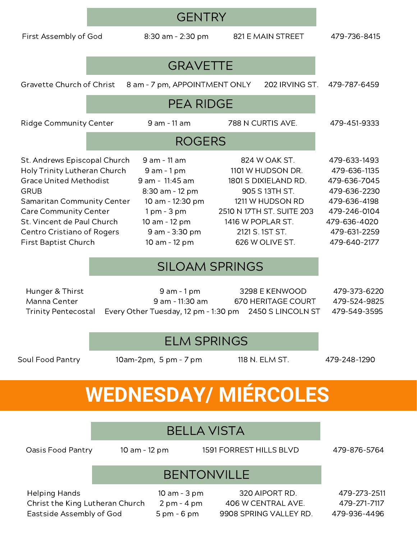| First Assembly of God                                                                                                                                                                                                                                                 |               | 8:30 am - 2:30 pm                                                                                                                                                             |                   | 821 E MAIN STREET                                                                                                                                                   | 479-736-8415                                                                                                                                 |
|-----------------------------------------------------------------------------------------------------------------------------------------------------------------------------------------------------------------------------------------------------------------------|---------------|-------------------------------------------------------------------------------------------------------------------------------------------------------------------------------|-------------------|---------------------------------------------------------------------------------------------------------------------------------------------------------------------|----------------------------------------------------------------------------------------------------------------------------------------------|
|                                                                                                                                                                                                                                                                       |               | <b>GRAVETTE</b>                                                                                                                                                               |                   |                                                                                                                                                                     |                                                                                                                                              |
| Gravette Church of Christ                                                                                                                                                                                                                                             |               | 8 am - 7 pm, APPOINTMENT ONLY                                                                                                                                                 |                   | 202 IRVING ST.                                                                                                                                                      | 479-787-6459                                                                                                                                 |
| <b>PEA RIDGE</b>                                                                                                                                                                                                                                                      |               |                                                                                                                                                                               |                   |                                                                                                                                                                     |                                                                                                                                              |
| <b>Ridge Community Center</b>                                                                                                                                                                                                                                         |               | 9 am - 11 am                                                                                                                                                                  |                   | 788 N CURTIS AVE.                                                                                                                                                   | 479-451-9333                                                                                                                                 |
|                                                                                                                                                                                                                                                                       | <b>ROGERS</b> |                                                                                                                                                                               |                   |                                                                                                                                                                     |                                                                                                                                              |
| St. Andrews Episcopal Church<br>Holy Trinity Lutheran Church<br><b>Grace United Methodist</b><br><b>GRUB</b><br><b>Samaritan Community Center</b><br><b>Care Community Center</b><br>St. Vincent de Paul Church<br>Centro Cristiano of Rogers<br>First Baptist Church |               | 9 am - 11 am<br>$9$ am $-1$ pm<br>9 am - 11:45 am<br>8:30 am - 12 pm<br>10 am - 12:30 pm<br>$1 \text{ pm} - 3 \text{ pm}$<br>10 am - 12 pm<br>9 am - 3:30 pm<br>10 am - 12 pm | 1416 W POPLAR ST. | 824 W OAK ST.<br>1101 W HUDSON DR.<br>1801 S DIXIELAND RD.<br>905 S 13TH ST.<br>1211 W HUDSON RD<br>2510 N 17TH ST. SUITE 203<br>2121 S. 1ST ST.<br>626 W OLIVE ST. | 479-633-1493<br>479-636-1135<br>479-636-7045<br>479-636-2230<br>479-636-4198<br>479-246-0104<br>479-636-4020<br>479-631-2259<br>479-640-2177 |

**GENTRY** 

### SILOAM SPRINGS

| Hunger & Thirst            | 9 am - 1 pm                                            | 3298 E KENWOOD     | 479-373-6220 |
|----------------------------|--------------------------------------------------------|--------------------|--------------|
| Manna Center               | 9 am - 11:30 am                                        | 670 HERITAGE COURT | 479-524-9825 |
| <b>Trinity Pentecostal</b> | Every Other Tuesday, 12 pm - 1:30 pm 2450 S LINCOLN ST |                    | 479-549-3595 |

#### ELM SPRINGS

Soul Food Pantry 10am-2pm, 5 pm - 7 pm 118 N. ELM ST. 479-248-1290

# **WEDNESDAY/ MIÉRCOLES**

### BELLA VISTA

Oasis Food Pantry 10 am - 12 pm 1591 FORREST HILLS BLVD 479-876-5764

## BENTONVILLE

Helping Hands **10 am - 3 pm** 320 AIPORT RD. 479-273-2511 Christ the King Lutheran Church 2 pm – 4 pm 406 W CENTRAL AVE. 479-271-7117 Eastside Assembly of God 5 pm - 6 pm 9908 SPRING VALLEY RD. 479-936-4496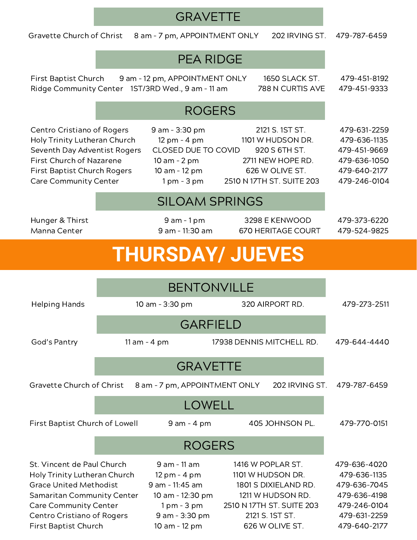## **GRAVETTE** Gravette Church of Christ 8 am - 7 pm, APPOINTMENT ONLY 202 IRVING ST. 479-787-6459 PEA RIDGE First Baptist Church 9 am - 12 pm, APPOINTMENT ONLY 1650 SLACK ST. 479-451-8192 Ridge Community Center 1ST/3RD Wed., 9 am - 11 am 788 N CURTIS AVE 479-451-9333 ROGERS Centro Cristiano of Rogers 9 am – 3:30 pm 2121 S. 1ST ST. 479-631-2259 Holy Trinity Lutheran Church 12 pm - 4 pm 1101 W HUDSON DR. 479-636-1135 Seventh Day Adventist Rogers CLOSED DUE TO COVID 920 S 6TH ST. 479-451-9669 First Church of Nazarene 10 am - 2 pm 2711 NEW HOPE RD. 479-636-1050 First Baptist Church Rogers 10 am - 12 pm 626 W OLIVE ST. 479-640-2177 Care Community Center 1 pm - 3 pm 2510 N 17TH ST. SUITE 203 479-246-0104 SILOAM SPRINGS Hunger & Thirst 9 am – 1 pm 3298 E KENWOOD 479-373-6220 Manna Center **11:30 am - 11:30 am** 670 HERITAGE COURT 479-524-9825 **THURSDAY/ JUEVES** BENTONVILLE Helping Hands 10 am - 3:30 pm 320 AIRPORT RD. 479-273-2511 GARFIELD God's Pantry 11 am - 4 pm 17938 DENNIS MITCHELL RD. 479-644-4440 **GRAVETTE** Gravette Church of Christ 8 am - 7 pm, APPOINTMENT ONLY 202 IRVING ST. 479-787-6459 LOWELL First Baptist Church of Lowell 9 am - 4 pm 405 JOHNSON PL. 479-770-0151 ROGERS St. Vincent de Paul Church 9 am – 11 am 1416 W POPLAR ST. 479-636-4020 Holy Trinity Lutheran Church 12 pm - 4 pm 1101 W HUDSON DR. 479-636-1135 Grace United Methodist 9 am - 11:45 am 1801 S DIXIELAND RD. 479-636-7045 Samaritan Community Center 10 am - 12:30 pm 1211 W HUDSON RD. 479-636-4198 Care Community Center 1 pm - 3 pm 2510 N 17TH ST. SUITE 203 479-246-0104 Centro Cristiano of Rogers 9 am – 3:30 pm 2121 S. 1ST ST. 479-631-2259

First Baptist Church 10 am – 12 pm 626 W OLIVE ST. 479-640-2177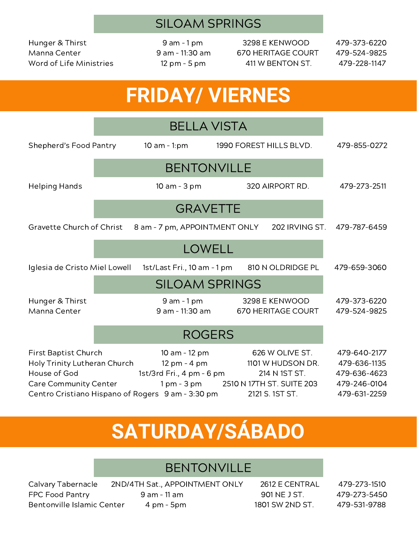### SILOAM SPRINGS

Word of Life Ministries 12 pm - 5 pm 411 W BENTON ST. 479-228-1147

Hunger & Thirst 9 am – 1 pm 3298 E KENWOOD 479-373-6220 Manna Center **9 am - 11:30 am 670 HERITAGE COURT** 479-524-9825

## **FRIDAY/ VIERNES**

|                                                                                               | <b>BELLA VISTA</b> |                                                                                                                                                          |                         |                                                                          |                                                                              |
|-----------------------------------------------------------------------------------------------|--------------------|----------------------------------------------------------------------------------------------------------------------------------------------------------|-------------------------|--------------------------------------------------------------------------|------------------------------------------------------------------------------|
| Shepherd's Food Pantry                                                                        |                    | 10 am $-1$ :pm                                                                                                                                           | 1990 FOREST HILLS BLVD. |                                                                          | 479-855-0272                                                                 |
|                                                                                               |                    |                                                                                                                                                          |                         |                                                                          |                                                                              |
| <b>Helping Hands</b>                                                                          |                    | 10 am - 3 pm                                                                                                                                             |                         | 320 AIRPORT RD.                                                          | 479-273-2511                                                                 |
|                                                                                               |                    | <b>GRAVETTE</b>                                                                                                                                          |                         |                                                                          |                                                                              |
| Gravette Church of Christ                                                                     |                    | 8 am - 7 pm, APPOINTMENT ONLY                                                                                                                            |                         | 202 IRVING ST.                                                           | 479-787-6459                                                                 |
| <b>LOWELL</b>                                                                                 |                    |                                                                                                                                                          |                         |                                                                          |                                                                              |
| Iglesia de Cristo Miel Lowell                                                                 |                    | 1st/Last Fri., 10 am - 1 pm                                                                                                                              |                         | 810 N OLDRIDGE PL                                                        | 479-659-3060                                                                 |
| <b>SILOAM SPRINGS</b>                                                                         |                    |                                                                                                                                                          |                         |                                                                          |                                                                              |
| Hunger & Thirst<br>Manna Center                                                               |                    | $9$ am - $1$ pm<br>9 am - 11:30 am                                                                                                                       |                         | 3298 E KENWOOD<br><b>670 HERITAGE COURT</b>                              | 479-373-6220<br>479-524-9825                                                 |
|                                                                                               | <b>ROGERS</b>      |                                                                                                                                                          |                         |                                                                          |                                                                              |
| First Baptist Church<br>Holy Trinity Lutheran Church<br>House of God<br>Care Community Center |                    | 10 am - 12 pm<br>12 pm - 4 pm<br>1st/3rd Fri., 4 pm - 6 pm<br>1 pm - 3 pm 2510 N 17TH ST. SUITE 203<br>Centro Cristiano Hispano of Rogers 9 am - 3:30 pm |                         | 626 W OLIVE ST.<br>1101 W HUDSON DR.<br>214 N 1ST ST.<br>2121 S. 1ST ST. | 479-640-2177<br>479-636-1135<br>479-636-4623<br>479-246-0104<br>479-631-2259 |

# **SATURDAY/SÁBADO**

### **BENTONVILLE**

Calvary Tabernacle 2ND/4TH Sat., APPOINTMENT ONLY 2612 E CENTRAL 479-273-1510 FPC Food Pantry 9 am - 11 am 901 NE J ST. 479-273-5450 Bentonville Islamic Center 4 pm - 5pm 1801 SW 2ND ST. 479-531-9788